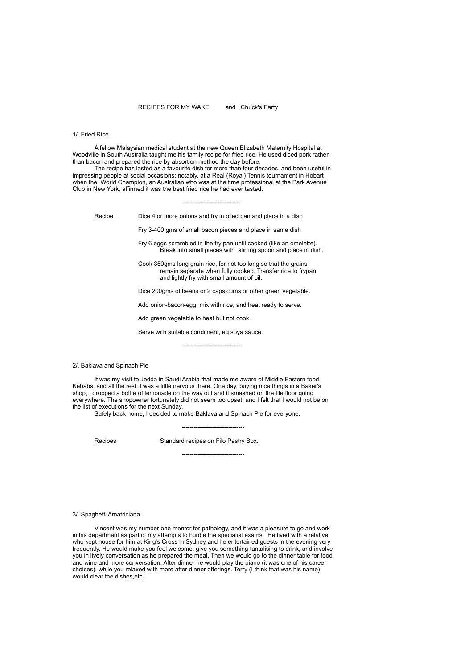## RECIPES FOR MY WAKE and Chuck's Party

# 1/. Fried Rice

A fellow Malaysian medical student at the new Queen Elizabeth Maternity Hospital at Woodville in South Australia taught me his family recipe for fried rice. He used diced pork rather than bacon and prepared the rice by absortion method the day before.

The recipe has lasted as a favourite dish for more than four decades, and been useful in impressing people at social occasions; notably, at a Real (Royal) Tennis tournament in Hobart when the World Champion, an Australian who was at the time professional at the Park Avenue Club in New York, affirmed it was the best fried rice he had ever tasted.

Recipe Dice 4 or more onions and fry in oiled pan and place in a dish

-----------------------------

Fry 3-400 gms of small bacon pieces and place in same dish

Fry 6 eggs scrambled in the fry pan until cooked (like an omelette). Break into small pieces with stirring spoon and place in dish.

Cook 350gms long grain rice, for not too long so that the grains remain separate when fully cooked. Transfer rice to frypan and lightly fry with small amount of oil.

Dice 200gms of beans or 2 capsicums or other green vegetable.

Add onion-bacon-egg, mix with rice, and heat ready to serve.

Add green vegetable to heat but not cook.

Serve with suitable condiment, eg soya sauce.

------------------------------

2/. Baklava and Spinach Pie

It was my visit to Jedda in Saudi Arabia that made me aware of Middle Eastern food, Kebabs, and all the rest. I was a little nervous there. One day, buying nice things in a Baker's shop, I dropped a bottle of lemonade on the way out and it smashed on the tile floor going everywhere. The shopowner fortunately did not seem too upset, and I felt that I would not be on the list of executions for the next Sunday.

Safely back home, I decided to make Baklava and Spinach Pie for everyone.

Recipes Standard recipes on Filo Pastry Box.

-------------------------------

-------------------------------

#### 3/. Spaghetti Amatriciana

Vincent was my number one mentor for pathology, and it was a pleasure to go and work in his department as part of my attempts to hurdle the specialist exams. He lived with a relative who kept house for him at King's Cross in Sydney and he entertained guests in the evening very frequently. He would make you feel welcome, give you something tantalising to drink, and involve you in lively conversation as he prepared the meal. Then we would go to the dinner table for food and wine and more conversation. After dinner he would play the piano (it was one of his career choices), while you relaxed with more after dinner offerings. Terry (I think that was his name) would clear the dishes,etc.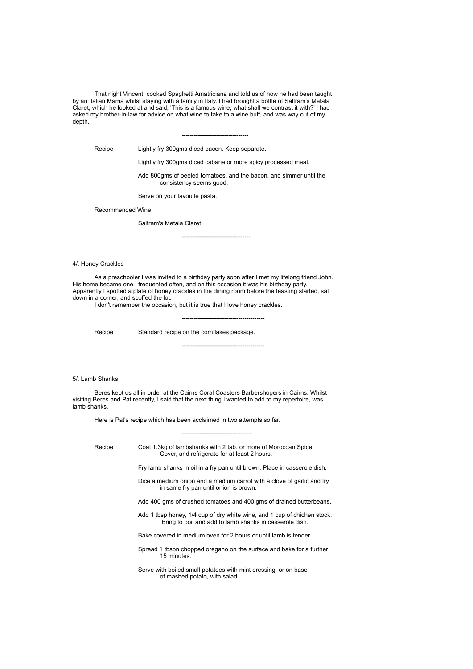That night Vincent cooked Spaghetti Amatriciana and told us of how he had been taught by an Italian Mama whilst staying with a family in Italy. I had brought a bottle of Saltram's Metala Claret, which he looked at and said, 'This is a famous wine, what shall we contrast it with?' I had asked my brother-in-law for advice on what wine to take to a wine buff, and was way out of my depth.

Recipe Lightly fry 300gms diced bacon. Keep separate.

Lightly fry 300gms diced cabana or more spicy processed meat.

---------------------------------

----------------------------------

Add 800gms of peeled tomatoes, and the bacon, and simmer until the consistency seems good.

Serve on your favouite pasta.

Recommended Wine

Saltram's Metala Claret.

4/. Honey Crackles

As a preschooler I was invited to a birthday party soon after I met my lifelong friend John. His home became one I frequented often, and on this occasion it was his birthday party. Apparently I spotted a plate of honey crackles in the dining room before the feasting started, sat down in a corner, and scoffed the lot.

I don't remember the occasion, but it is true that I love honey crackles.

-----------------------------------------

-----------------------------------------

Recipe Standard recipe on the cornflakes package.

5/. Lamb Shanks

Beres kept us all in order at the Cairns Coral Coasters Barbershopers in Cairns. Whilst visiting Beres and Pat recently, I said that the next thing I wanted to add to my repertoire, was lamb shanks.

Here is Pat's recipe which has been acclaimed in two attempts so far.

Recipe Coat 1.3kg of lambshanks with 2 tab. or more of Moroccan Spice. Cover, and refrigerate for at least 2 hours. Fry lamb shanks in oil in a fry pan until brown. Place in casserole dish. Dice a medium onion and a medium carrot with a clove of garlic and fry in same fry pan until onion is brown. Add 400 gms of crushed tomatoes and 400 gms of drained butterbeans. Add 1 tbsp honey, 1/4 cup of dry white wine, and 1 cup of chichen stock. Bring to boil and add to lamb shanks in casserole dish. Bake covered in medium oven for 2 hours or until lamb is tender. Spread 1 tbspn chopped oregano on the surface and bake for a further 15 minutes. Serve with boiled small potatoes with mint dressing, or on base

-----------------------------------

of mashed potato, with salad.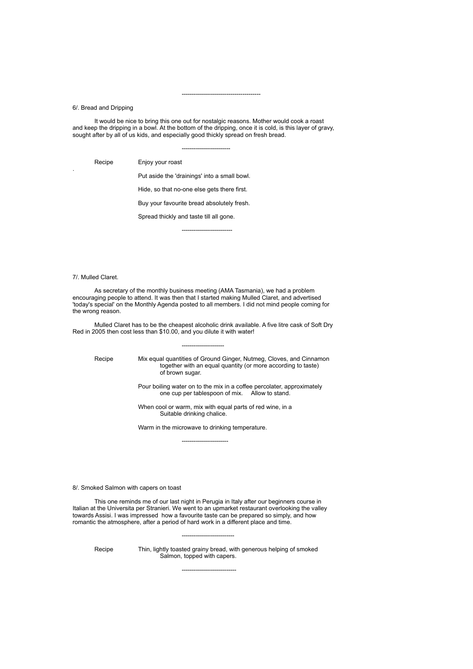6/. Bread and Dripping

.

It would be nice to bring this one out for nostalgic reasons. Mother would cook a roast and keep the dripping in a bowl. At the bottom of the dripping, once it is cold, is this layer of gravy, sought after by all of us kids, and especially good thickly spread on fresh bread.

------------------------

---------------------------------------

Recipe Enjoy your roast

Put aside the 'drainings' into a small bowl.

Hide, so that no-one else gets there first.

Buy your favourite bread absolutely fresh.

Spread thickly and taste till all gone.

-------------------------

### 7/. Mulled Claret.

As secretary of the monthly business meeting (AMA Tasmania), we had a problem encouraging people to attend. It was then that I started making Mulled Claret, and advertised 'today's special' on the Monthly Agenda posted to all members. I did not mind people coming for the wrong reason.

Mulled Claret has to be the cheapest alcoholic drink available. A five litre cask of Soft Dry Red in 2005 then cost less than \$10.00, and you dilute it with water!

---------------------

Recipe Mix equal quantities of Ground Ginger, Nutmeg, Cloves, and Cinnamon together with an equal quantity (or more according to taste) of brown sugar. Pour boiling water on to the mix in a coffee percolater, approximately one cup per tablespoon of mix. Allow to stand.

> When cool or warm, mix with equal parts of red wine, in a Suitable drinking chalice.

Warm in the microwave to drinking temperature. -----------------------

8/. Smoked Salmon with capers on toast

This one reminds me of our last night in Perugia in Italy after our beginners course in Italian at the Universita per Stranieri. We went to an upmarket restaurant overlooking the valley towards Assisi. I was impressed how a favourite taste can be prepared so simply, and how romantic the atmosphere, after a period of hard work in a different place and time.

Recipe Thin, lightly toasted grainy bread, with generous helping of smoked Salmon, topped with capers.

---------------------------

--------------------------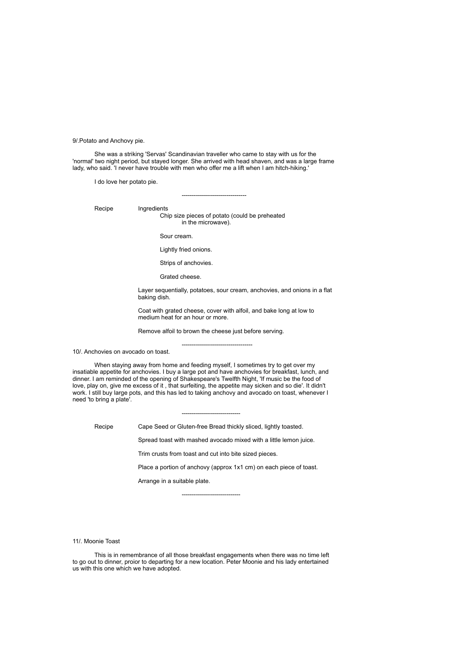9/.Potato and Anchovy pie.

She was a striking 'Servas' Scandinavian traveller who came to stay with us for the 'normal' two night period, but stayed longer. She arrived with head shaven, and was a large frame lady, who said. 'I never have trouble with men who offer me a lift when I am hitch-hiking.'

I do love her potato pie.

Recipe Ingredients

Chip size pieces of potato (could be preheated in the microwave).

--------------------------------

Sour cream.

Lightly fried onions.

Strips of anchovies.

Grated cheese.

Layer sequentially, potatoes, sour cream, anchovies, and onions in a flat baking dish.

Coat with grated cheese, cover with alfoil, and bake long at low to medium heat for an hour or more.

Remove alfoil to brown the cheese just before serving.

-----------------------------------

10/. Anchovies on avocado on toast.

When staying away from home and feeding myself, I sometimes try to get over my insatiable appetite for anchovies. I buy a large pot and have anchovies for breakfast, lunch, and dinner. I am reminded of the opening of Shakespeare's Twelfth Night, 'If music be the food of love, play on, give me excess of it , that surfeiting, the appetite may sicken and so die'. It didn't work. I still buy large pots, and this has led to taking anchovy and avocado on toast, whenever I need 'to bring a plate'.

----------------------------- Recipe Cape Seed or Gluten-free Bread thickly sliced, lightly toasted.

Spread toast with mashed avocado mixed with a little lemon juice.

Trim crusts from toast and cut into bite sized pieces.

-----------------------------

Place a portion of anchovy (approx 1x1 cm) on each piece of toast.

Arrange in a suitable plate.

11/. Moonie Toast

This is in remembrance of all those breakfast engagements when there was no time left to go out to dinner, proior to departing for a new location. Peter Moonie and his lady entertained us with this one which we have adopted.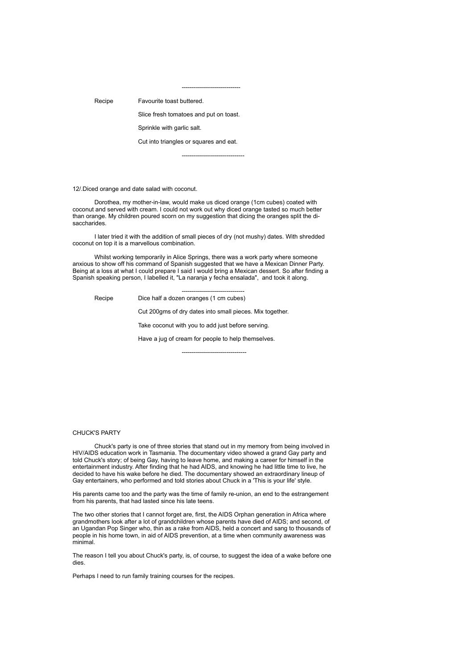-----------------------------

Recipe Favourite toast buttered.

Slice fresh tomatoes and put on toast.

Sprinkle with garlic salt.

Cut into triangles or squares and eat.

-------------------------------

12/.Diced orange and date salad with coconut.

Dorothea, my mother-in-law, would make us diced orange (1cm cubes) coated with coconut and served with cream. I could not work out why diced orange tasted so much better than orange. My children poured scorn on my suggestion that dicing the oranges split the disaccharides.

I later tried it with the addition of small pieces of dry (not mushy) dates. With shredded coconut on top it is a marvellous combination.

Whilst working temporarily in Alice Springs, there was a work party where someone anxious to show off his command of Spanish suggested that we have a Mexican Dinner Party. Being at a loss at what I could prepare I said I would bring a Mexican dessert. So after finding a Spanish speaking person, I labelled it, "La naranja y fecha ensalada", and took it along.

------------------------------- Recipe Dice half a dozen oranges (1 cm cubes) Cut 200gms of dry dates into small pieces. Mix together. Take coconut with you to add just before serving. Have a jug of cream for people to help themselves.

--------------------------------

### CHUCK'S PARTY

Chuck's party is one of three stories that stand out in my memory from being involved in HIV/AIDS education work in Tasmania. The documentary video showed a grand Gay party and told Chuck's story; of being Gay, having to leave home, and making a career for himself in the entertainment industry. After finding that he had AIDS, and knowing he had little time to live, he decided to have his wake before he died. The documentary showed an extraordinary lineup of Gay entertainers, who performed and told stories about Chuck in a 'This is your life' style.

His parents came too and the party was the time of family re-union, an end to the estrangement from his parents, that had lasted since his late teens.

The two other stories that I cannot forget are, first, the AIDS Orphan generation in Africa where grandmothers look after a lot of grandchildren whose parents have died of AIDS; and second, of an Ugandan Pop Singer who, thin as a rake from AIDS, held a concert and sang to thousands of people in his home town, in aid of AIDS prevention, at a time when community awareness was minimal.

The reason I tell you about Chuck's party, is, of course, to suggest the idea of a wake before one dies.

Perhaps I need to run family training courses for the recipes.